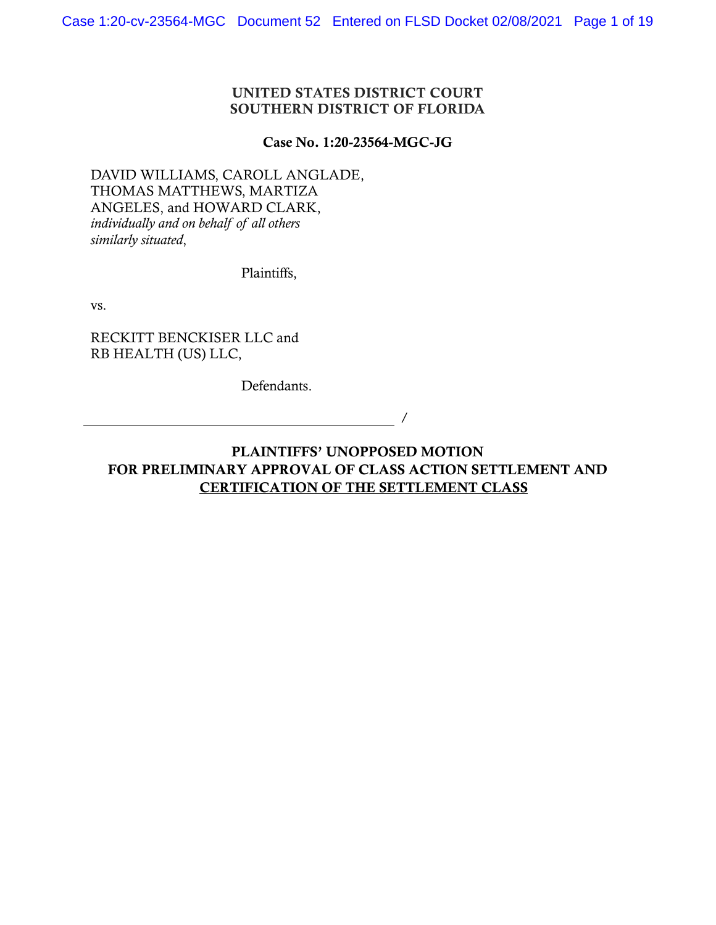### UNITED STATES DISTRICT COURT SOUTHERN DISTRICT OF FLORIDA

#### Case No. 1:20-23564-MGC-JG

DAVID WILLIAMS, CAROLL ANGLADE, THOMAS MATTHEWS, MARTIZA ANGELES, and HOWARD CLARK, *individually and on behalf of all others similarly situated*,

Plaintiffs,

vs.

RECKITT BENCKISER LLC and RB HEALTH (US) LLC,

Defendants.

PLAINTIFFS' UNOPPOSED MOTION FOR PRELIMINARY APPROVAL OF CLASS ACTION SETTLEMENT AND CERTIFICATION OF THE SETTLEMENT CLASS

/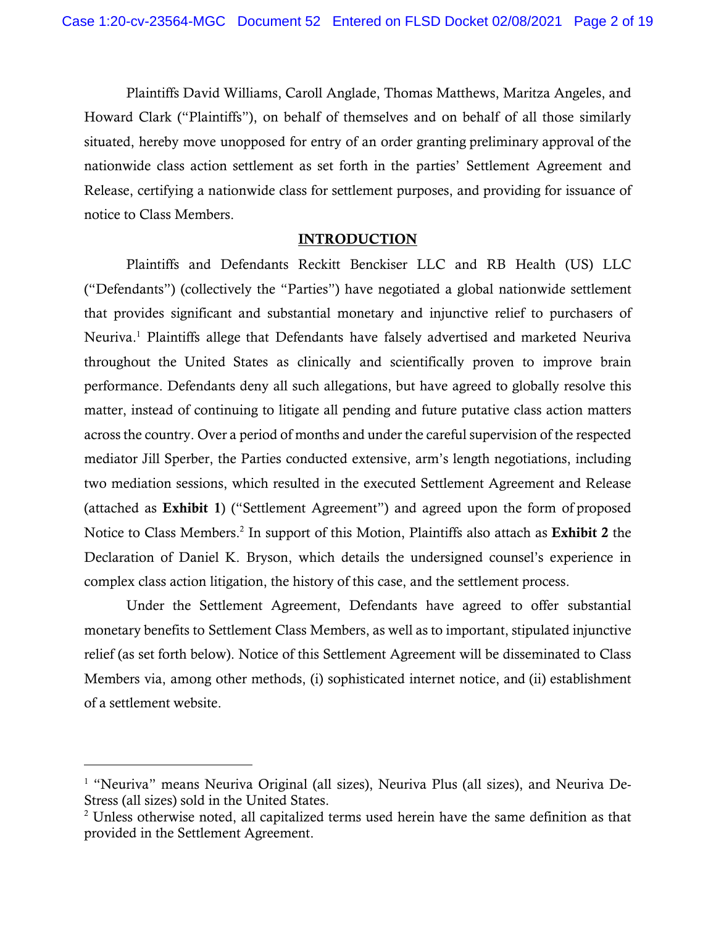Plaintiffs David Williams, Caroll Anglade, Thomas Matthews, Maritza Angeles, and Howard Clark ("Plaintiffs"), on behalf of themselves and on behalf of all those similarly situated, hereby move unopposed for entry of an order granting preliminary approval of the nationwide class action settlement as set forth in the parties' Settlement Agreement and Release, certifying a nationwide class for settlement purposes, and providing for issuance of notice to Class Members.

#### INTRODUCTION

Plaintiffs and Defendants Reckitt Benckiser LLC and RB Health (US) LLC ("Defendants") (collectively the "Parties") have negotiated a global nationwide settlement that provides significant and substantial monetary and injunctive relief to purchasers of Neuriva.<sup>1</sup> Plaintiffs allege that Defendants have falsely advertised and marketed Neuriva throughout the United States as clinically and scientifically proven to improve brain performance. Defendants deny all such allegations, but have agreed to globally resolve this matter, instead of continuing to litigate all pending and future putative class action matters across the country. Over a period of months and under the careful supervision of the respected mediator Jill Sperber, the Parties conducted extensive, arm's length negotiations, including two mediation sessions, which resulted in the executed Settlement Agreement and Release (attached as Exhibit 1) ("Settlement Agreement") and agreed upon the form of proposed Notice to Class Members.<sup>2</sup> In support of this Motion, Plaintiffs also attach as Exhibit 2 the Declaration of Daniel K. Bryson, which details the undersigned counsel's experience in complex class action litigation, the history of this case, and the settlement process.

Under the Settlement Agreement, Defendants have agreed to offer substantial monetary benefits to Settlement Class Members, as well as to important, stipulated injunctive relief (as set forth below). Notice of this Settlement Agreement will be disseminated to Class Members via, among other methods, (i) sophisticated internet notice, and (ii) establishment of a settlement website.

<sup>&</sup>lt;sup>1</sup> "Neuriva" means Neuriva Original (all sizes), Neuriva Plus (all sizes), and Neuriva De-Stress (all sizes) sold in the United States.

 $2^2$  Unless otherwise noted, all capitalized terms used herein have the same definition as that provided in the Settlement Agreement.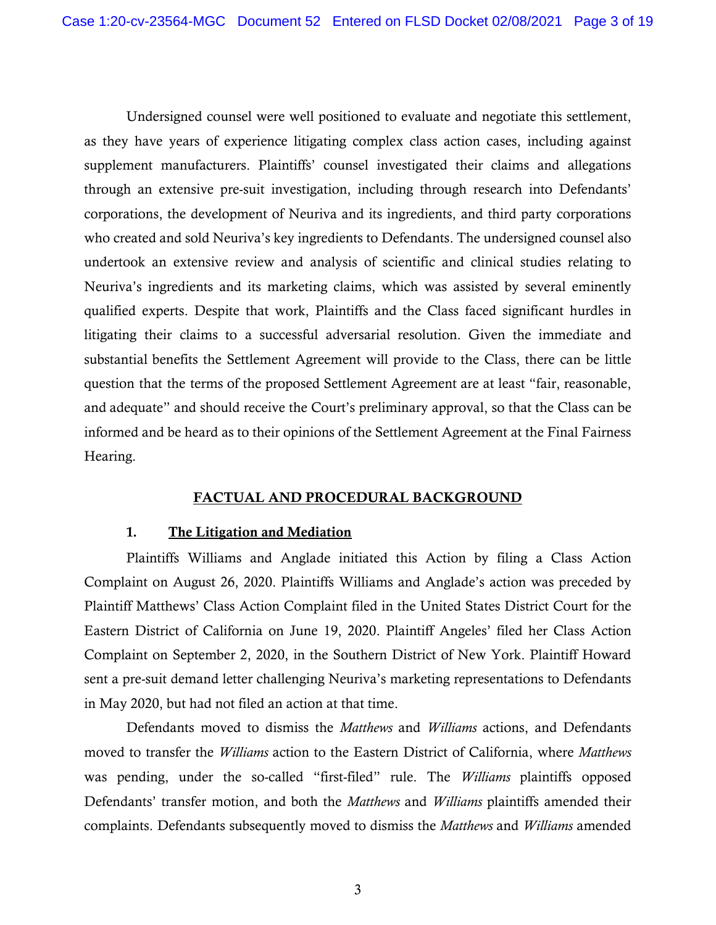Undersigned counsel were well positioned to evaluate and negotiate this settlement, as they have years of experience litigating complex class action cases, including against supplement manufacturers. Plaintiffs' counsel investigated their claims and allegations through an extensive pre-suit investigation, including through research into Defendants' corporations, the development of Neuriva and its ingredients, and third party corporations who created and sold Neuriva's key ingredients to Defendants. The undersigned counsel also undertook an extensive review and analysis of scientific and clinical studies relating to Neuriva's ingredients and its marketing claims, which was assisted by several eminently qualified experts. Despite that work, Plaintiffs and the Class faced significant hurdles in litigating their claims to a successful adversarial resolution. Given the immediate and substantial benefits the Settlement Agreement will provide to the Class, there can be little question that the terms of the proposed Settlement Agreement are at least "fair, reasonable, and adequate" and should receive the Court's preliminary approval, so that the Class can be informed and be heard as to their opinions of the Settlement Agreement at the Final Fairness Hearing.

## FACTUAL AND PROCEDURAL BACKGROUND

#### **1.** The Litigation and Mediation

Plaintiffs Williams and Anglade initiated this Action by filing a Class Action Complaint on August 26, 2020. Plaintiffs Williams and Anglade's action was preceded by Plaintiff Matthews' Class Action Complaint filed in the United States District Court for the Eastern District of California on June 19, 2020. Plaintiff Angeles' filed her Class Action Complaint on September 2, 2020, in the Southern District of New York. Plaintiff Howard sent a pre-suit demand letter challenging Neuriva's marketing representations to Defendants in May 2020, but had not filed an action at that time.

Defendants moved to dismiss the *Matthews* and *Williams* actions, and Defendants moved to transfer the *Williams* action to the Eastern District of California, where *Matthews* was pending, under the so-called "first-filed" rule. The *Williams* plaintiffs opposed Defendants' transfer motion, and both the *Matthews* and *Williams* plaintiffs amended their complaints. Defendants subsequently moved to dismiss the *Matthews* and *Williams* amended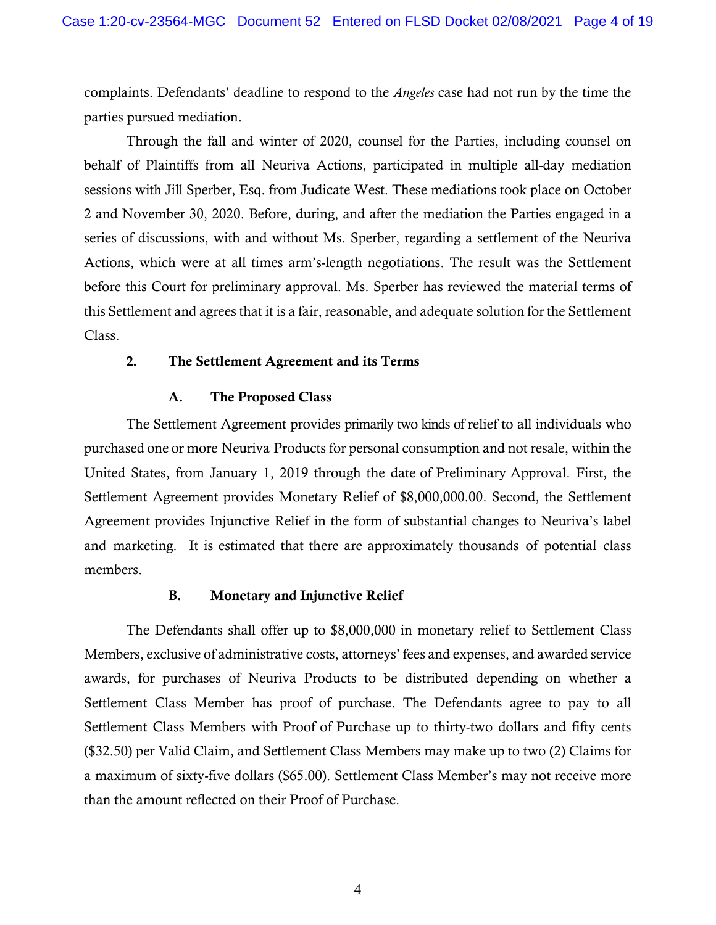complaints. Defendants' deadline to respond to the *Angeles* case had not run by the time the parties pursued mediation.

Through the fall and winter of 2020, counsel for the Parties, including counsel on behalf of Plaintiffs from all Neuriva Actions, participated in multiple all-day mediation sessions with Jill Sperber, Esq. from Judicate West. These mediations took place on October 2 and November 30, 2020. Before, during, and after the mediation the Parties engaged in a series of discussions, with and without Ms. Sperber, regarding a settlement of the Neuriva Actions, which were at all times arm's-length negotiations. The result was the Settlement before this Court for preliminary approval. Ms. Sperber has reviewed the material terms of this Settlement and agrees that it is a fair, reasonable, and adequate solution for the Settlement Class.

#### **2.** The Settlement Agreement and its Terms

### **A.** The Proposed Class

The Settlement Agreement provides primarily two kinds of relief to all individuals who purchased one or more Neuriva Products for personal consumption and not resale, within the United States, from January 1, 2019 through the date of Preliminary Approval. First, the Settlement Agreement provides Monetary Relief of \$8,000,000.00. Second, the Settlement Agreement provides Injunctive Relief in the form of substantial changes to Neuriva's label and marketing. It is estimated that there are approximately thousands of potential class members.

## **B.** Monetary and Injunctive Relief

The Defendants shall offer up to \$8,000,000 in monetary relief to Settlement Class Members, exclusive of administrative costs, attorneys' fees and expenses, and awarded service awards, for purchases of Neuriva Products to be distributed depending on whether a Settlement Class Member has proof of purchase. The Defendants agree to pay to all Settlement Class Members with Proof of Purchase up to thirty-two dollars and fifty cents (\$32.50) per Valid Claim, and Settlement Class Members may make up to two (2) Claims for a maximum of sixty-five dollars (\$65.00). Settlement Class Member's may not receive more than the amount reflected on their Proof of Purchase.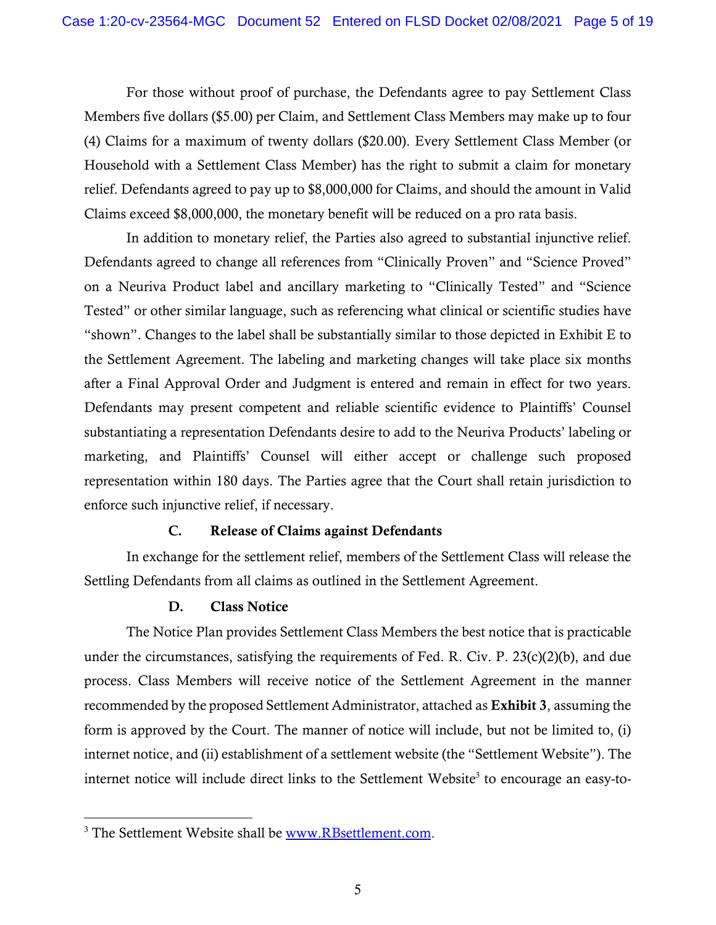For those without proof of purchase, the Defendants agree to pay Settlement Class Members five dollars (\$5.00) per Claim, and Settlement Class Members may make up to four (4) Claims for a maximum of twenty dollars (\$20.00). Every Settlement Class Member (or Household with a Settlement Class Member) has the right to submit a claim for monetary relief. Defendants agreed to pay up to \$8,000,000 for Claims, and should the amount in Valid Claims exceed \$8,000,000, the monetary benefit will be reduced on a pro rata basis.

 In addition to monetary relief, the Parties also agreed to substantial injunctive relief. Defendants agreed to change all references from "Clinically Proven" and "Science Proved" on a Neuriva Product label and ancillary marketing to "Clinically Tested" and "Science Tested" or other similar language, such as referencing what clinical or scientific studies have "shown". Changes to the label shall be substantially similar to those depicted in Exhibit E to the Settlement Agreement. The labeling and marketing changes will take place six months after a Final Approval Order and Judgment is entered and remain in effect for two years. Defendants may present competent and reliable scientific evidence to Plaintiffs' Counsel substantiating a representation Defendants desire to add to the Neuriva Products' labeling or marketing, and Plaintiffs' Counsel will either accept or challenge such proposed representation within 180 days. The Parties agree that the Court shall retain jurisdiction to enforce such injunctive relief, if necessary.

## **C.** Release of Claims against Defendants

In exchange for the settlement relief, members of the Settlement Class will release the Settling Defendants from all claims as outlined in the Settlement Agreement.

# **D.** Class Notice

The Notice Plan provides Settlement Class Members the best notice that is practicable under the circumstances, satisfying the requirements of Fed. R. Civ. P. 23(c)(2)(b), and due process. Class Members will receive notice of the Settlement Agreement in the manner recommended by the proposed Settlement Administrator, attached as Exhibit 3, assuming the form is approved by the Court. The manner of notice will include, but not be limited to, (i) internet notice, and (ii) establishment of a settlement website (the "Settlement Website"). The internet notice will include direct links to the Settlement Website<sup>3</sup> to encourage an easy-to-

<sup>&</sup>lt;sup>3</sup> The Settlement Website shall be **www.RBsettlement.com.**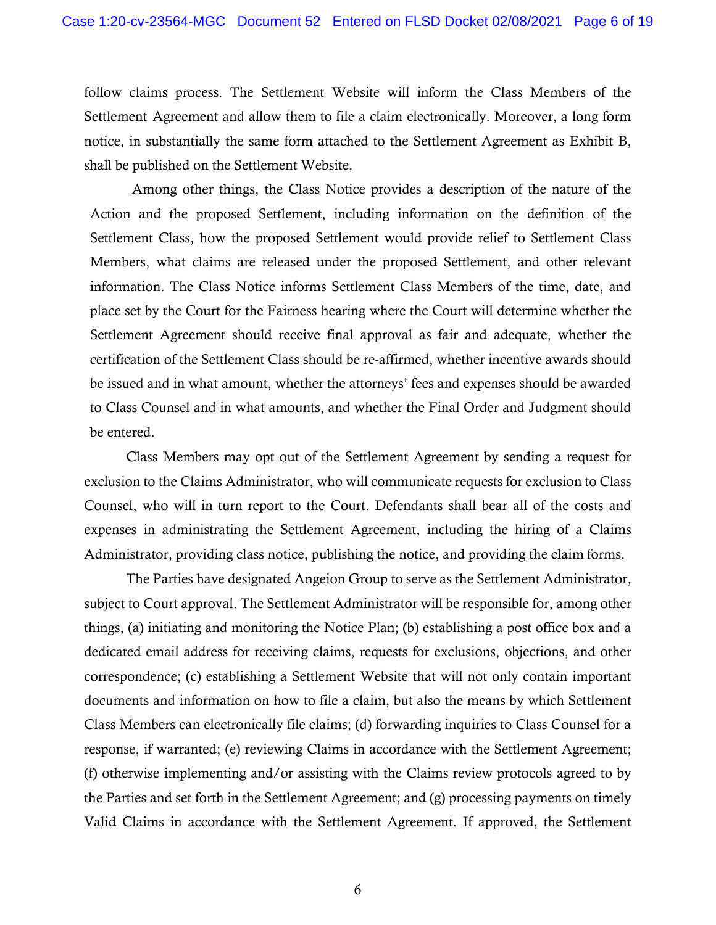follow claims process. The Settlement Website will inform the Class Members of the Settlement Agreement and allow them to file a claim electronically. Moreover, a long form notice, in substantially the same form attached to the Settlement Agreement as Exhibit B, shall be published on the Settlement Website.

Among other things, the Class Notice provides a description of the nature of the Action and the proposed Settlement, including information on the definition of the Settlement Class, how the proposed Settlement would provide relief to Settlement Class Members, what claims are released under the proposed Settlement, and other relevant information. The Class Notice informs Settlement Class Members of the time, date, and place set by the Court for the Fairness hearing where the Court will determine whether the Settlement Agreement should receive final approval as fair and adequate, whether the certification of the Settlement Class should be re-affirmed, whether incentive awards should be issued and in what amount, whether the attorneys' fees and expenses should be awarded to Class Counsel and in what amounts, and whether the Final Order and Judgment should be entered.

Class Members may opt out of the Settlement Agreement by sending a request for exclusion to the Claims Administrator, who will communicate requests for exclusion to Class Counsel, who will in turn report to the Court. Defendants shall bear all of the costs and expenses in administrating the Settlement Agreement, including the hiring of a Claims Administrator, providing class notice, publishing the notice, and providing the claim forms.

The Parties have designated Angeion Group to serve as the Settlement Administrator, subject to Court approval. The Settlement Administrator will be responsible for, among other things, (a) initiating and monitoring the Notice Plan; (b) establishing a post office box and a dedicated email address for receiving claims, requests for exclusions, objections, and other correspondence; (c) establishing a Settlement Website that will not only contain important documents and information on how to file a claim, but also the means by which Settlement Class Members can electronically file claims; (d) forwarding inquiries to Class Counsel for a response, if warranted; (e) reviewing Claims in accordance with the Settlement Agreement; (f) otherwise implementing and/or assisting with the Claims review protocols agreed to by the Parties and set forth in the Settlement Agreement; and (g) processing payments on timely Valid Claims in accordance with the Settlement Agreement. If approved, the Settlement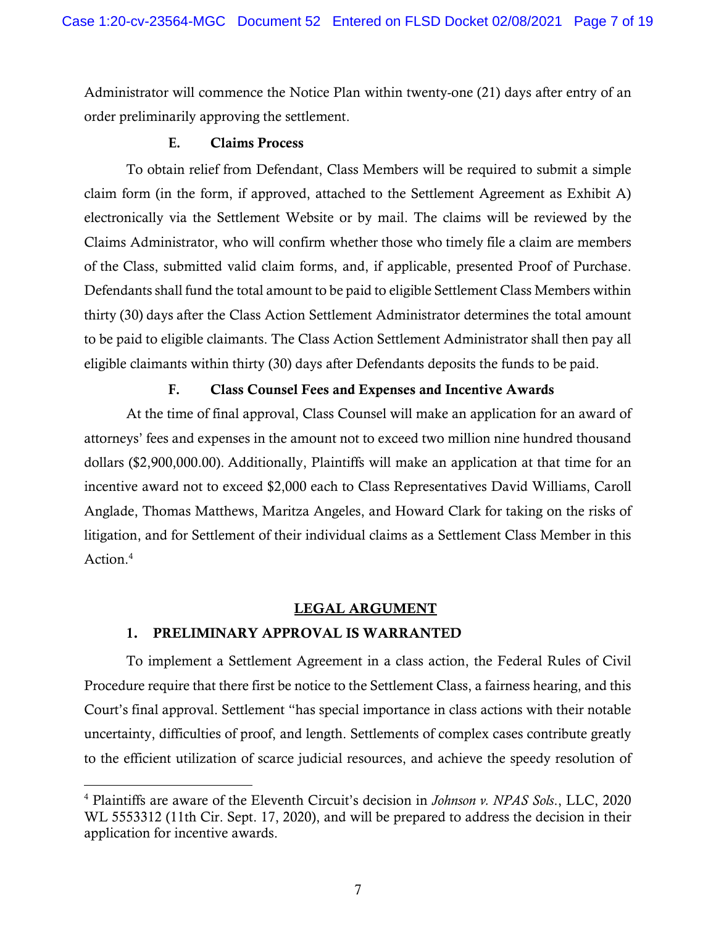Administrator will commence the Notice Plan within twenty-one (21) days after entry of an order preliminarily approving the settlement.

### **E.** Claims Process

To obtain relief from Defendant, Class Members will be required to submit a simple claim form (in the form, if approved, attached to the Settlement Agreement as Exhibit A) electronically via the Settlement Website or by mail. The claims will be reviewed by the Claims Administrator, who will confirm whether those who timely file a claim are members of the Class, submitted valid claim forms, and, if applicable, presented Proof of Purchase. Defendants shall fund the total amount to be paid to eligible Settlement Class Members within thirty (30) days after the Class Action Settlement Administrator determines the total amount to be paid to eligible claimants. The Class Action Settlement Administrator shall then pay all eligible claimants within thirty (30) days after Defendants deposits the funds to be paid.

## **F.** Class Counsel Fees and Expenses and Incentive Awards

At the time of final approval, Class Counsel will make an application for an award of attorneys' fees and expenses in the amount not to exceed two million nine hundred thousand dollars (\$2,900,000.00). Additionally, Plaintiffs will make an application at that time for an incentive award not to exceed \$2,000 each to Class Representatives David Williams, Caroll Anglade, Thomas Matthews, Maritza Angeles, and Howard Clark for taking on the risks of litigation, and for Settlement of their individual claims as a Settlement Class Member in this Action.4

## LEGAL ARGUMENT

## 1. PRELIMINARY APPROVAL IS WARRANTED

To implement a Settlement Agreement in a class action, the Federal Rules of Civil Procedure require that there first be notice to the Settlement Class, a fairness hearing, and this Court's final approval. Settlement "has special importance in class actions with their notable uncertainty, difficulties of proof, and length. Settlements of complex cases contribute greatly to the efficient utilization of scarce judicial resources, and achieve the speedy resolution of

<sup>4</sup> Plaintiffs are aware of the Eleventh Circuit's decision in *Johnson v. NPAS Sols*., LLC, 2020 WL 5553312 (11th Cir. Sept. 17, 2020), and will be prepared to address the decision in their application for incentive awards.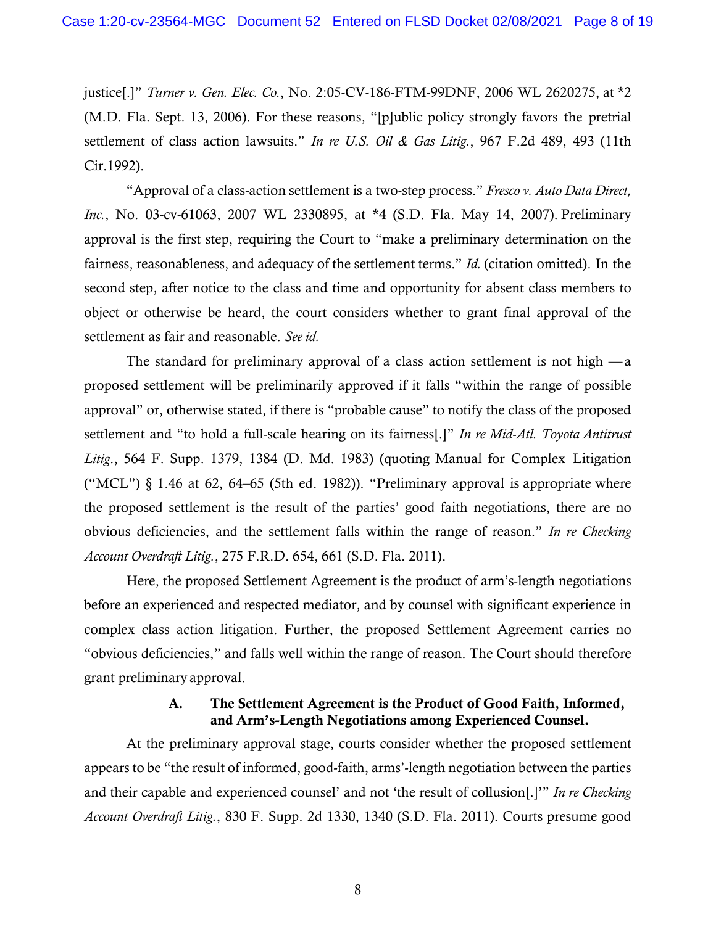justice[.]" *Turner v. Gen. Elec. Co.*, No. 2:05-CV-186-FTM-99DNF, 2006 WL 2620275, at \*2 (M.D. Fla. Sept. 13, 2006). For these reasons, "[p]ublic policy strongly favors the pretrial settlement of class action lawsuits." *In re U.S. Oil & Gas Litig.*, 967 F.2d 489, 493 (11th Cir.1992).

"Approval of a class-action settlement is a two-step process." *Fresco v. Auto Data Direct, Inc.*, No. 03-cv-61063, 2007 WL 2330895, at \*4 (S.D. Fla. May 14, 2007). Preliminary approval is the first step, requiring the Court to "make a preliminary determination on the fairness, reasonableness, and adequacy of the settlement terms." *Id.* (citation omitted). In the second step, after notice to the class and time and opportunity for absent class members to object or otherwise be heard, the court considers whether to grant final approval of the settlement as fair and reasonable. *See id.* 

The standard for preliminary approval of a class action settlement is not high  $-a$ proposed settlement will be preliminarily approved if it falls "within the range of possible approval" or, otherwise stated, if there is "probable cause" to notify the class of the proposed settlement and "to hold a full-scale hearing on its fairness[.]" *In re Mid-Atl. Toyota Antitrust Litig*., 564 F. Supp. 1379, 1384 (D. Md. 1983) (quoting Manual for Complex Litigation ("MCL")  $\S$  1.46 at 62, 64–65 (5th ed. 1982)). "Preliminary approval is appropriate where the proposed settlement is the result of the parties' good faith negotiations, there are no obvious deficiencies, and the settlement falls within the range of reason." *In re Checking Account Overdraft Litig.*, 275 F.R.D. 654, 661 (S.D. Fla. 2011).

Here, the proposed Settlement Agreement is the product of arm's-length negotiations before an experienced and respected mediator, and by counsel with significant experience in complex class action litigation. Further, the proposed Settlement Agreement carries no "obvious deficiencies," and falls well within the range of reason. The Court should therefore grant preliminary approval.

## **A.** The Settlement Agreement is the Product of Good Faith, Informed, and Arm's-Length Negotiations among Experienced Counsel.

At the preliminary approval stage, courts consider whether the proposed settlement appears to be "the result of informed, good-faith, arms'-length negotiation between the parties and their capable and experienced counsel' and not 'the result of collusion[.]'" *In re Checking Account Overdraft Litig.*, 830 F. Supp. 2d 1330, 1340 (S.D. Fla. 2011). Courts presume good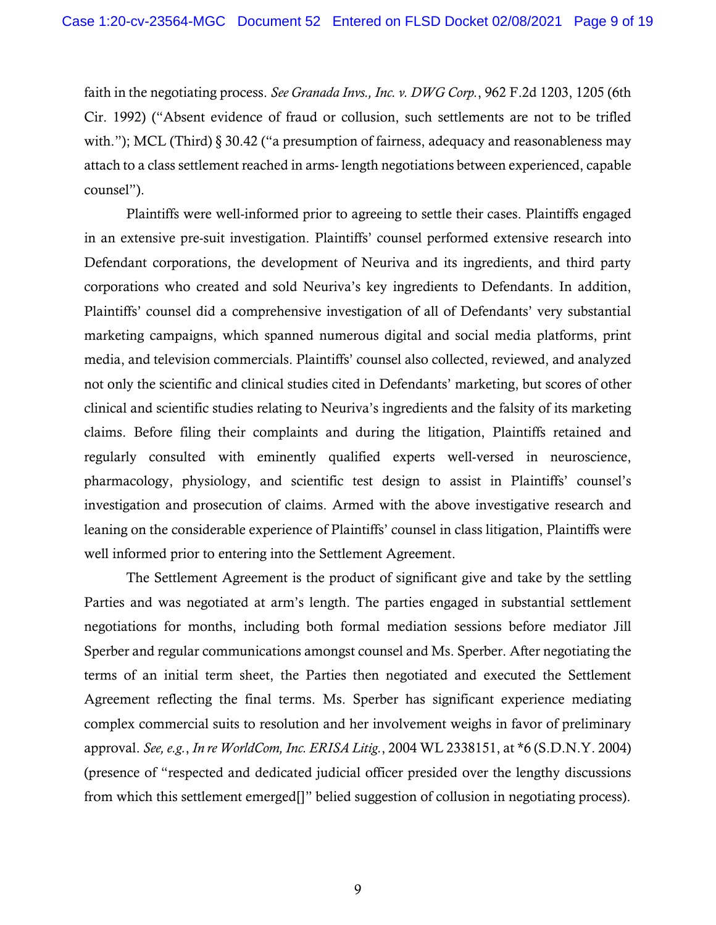faith in the negotiating process. *See Granada Invs., Inc. v. DWG Corp.*, 962 F.2d 1203, 1205 (6th Cir. 1992) ("Absent evidence of fraud or collusion, such settlements are not to be trifled with."); MCL (Third) § 30.42 ("a presumption of fairness, adequacy and reasonableness may attach to a class settlement reached in arms- length negotiations between experienced, capable counsel").

Plaintiffs were well-informed prior to agreeing to settle their cases. Plaintiffs engaged in an extensive pre-suit investigation. Plaintiffs' counsel performed extensive research into Defendant corporations, the development of Neuriva and its ingredients, and third party corporations who created and sold Neuriva's key ingredients to Defendants. In addition, Plaintiffs' counsel did a comprehensive investigation of all of Defendants' very substantial marketing campaigns, which spanned numerous digital and social media platforms, print media, and television commercials. Plaintiffs' counsel also collected, reviewed, and analyzed not only the scientific and clinical studies cited in Defendants' marketing, but scores of other clinical and scientific studies relating to Neuriva's ingredients and the falsity of its marketing claims. Before filing their complaints and during the litigation, Plaintiffs retained and regularly consulted with eminently qualified experts well-versed in neuroscience, pharmacology, physiology, and scientific test design to assist in Plaintiffs' counsel's investigation and prosecution of claims. Armed with the above investigative research and leaning on the considerable experience of Plaintiffs' counsel in class litigation, Plaintiffs were well informed prior to entering into the Settlement Agreement.

The Settlement Agreement is the product of significant give and take by the settling Parties and was negotiated at arm's length. The parties engaged in substantial settlement negotiations for months, including both formal mediation sessions before mediator Jill Sperber and regular communications amongst counsel and Ms. Sperber. After negotiating the terms of an initial term sheet, the Parties then negotiated and executed the Settlement Agreement reflecting the final terms. Ms. Sperber has significant experience mediating complex commercial suits to resolution and her involvement weighs in favor of preliminary approval. *See, e.g.*, *In re WorldCom, Inc. ERISA Litig.*, 2004 WL 2338151, at \*6 (S.D.N.Y. 2004) (presence of "respected and dedicated judicial officer presided over the lengthy discussions from which this settlement emerged[]" belied suggestion of collusion in negotiating process).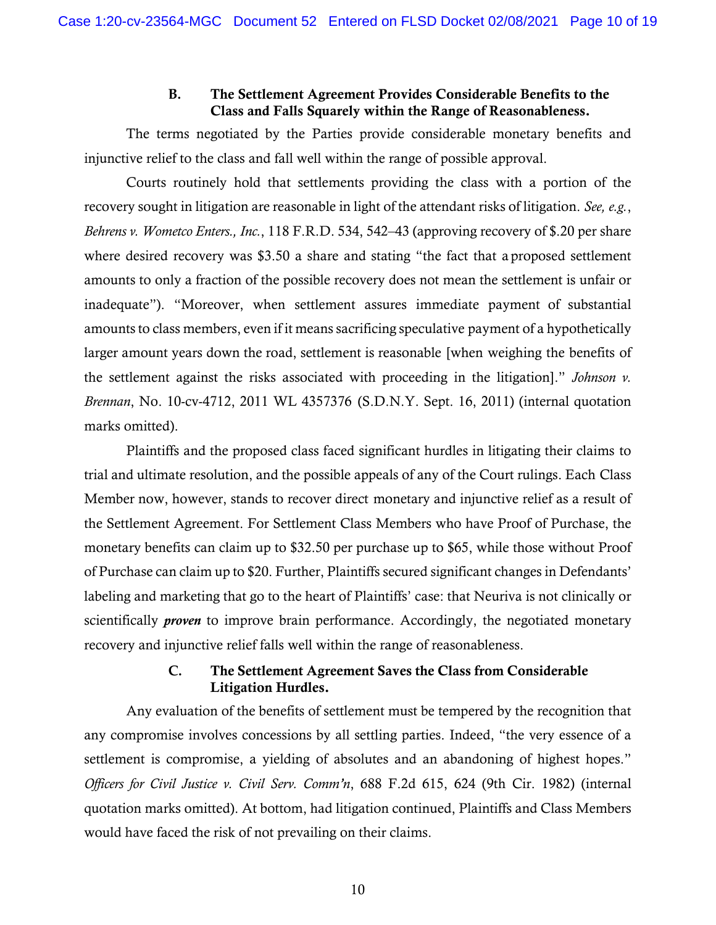## **B.** The Settlement Agreement Provides Considerable Benefits to the Class and Falls Squarely within the Range of Reasonableness.

The terms negotiated by the Parties provide considerable monetary benefits and injunctive relief to the class and fall well within the range of possible approval.

Courts routinely hold that settlements providing the class with a portion of the recovery sought in litigation are reasonable in light of the attendant risks of litigation. *See, e.g.*, *Behrens v. Wometco Enters., Inc.*, 118 F.R.D. 534, 542–43 (approving recovery of \$.20 per share where desired recovery was \$3.50 a share and stating "the fact that a proposed settlement amounts to only a fraction of the possible recovery does not mean the settlement is unfair or inadequate"). "Moreover, when settlement assures immediate payment of substantial amounts to class members, even if it means sacrificing speculative payment of a hypothetically larger amount years down the road, settlement is reasonable [when weighing the benefits of the settlement against the risks associated with proceeding in the litigation]." *Johnson v. Brennan*, No. 10-cv-4712, 2011 WL 4357376 (S.D.N.Y. Sept. 16, 2011) (internal quotation marks omitted).

Plaintiffs and the proposed class faced significant hurdles in litigating their claims to trial and ultimate resolution, and the possible appeals of any of the Court rulings. Each Class Member now, however, stands to recover direct monetary and injunctive relief as a result of the Settlement Agreement. For Settlement Class Members who have Proof of Purchase, the monetary benefits can claim up to \$32.50 per purchase up to \$65, while those without Proof of Purchase can claim up to \$20. Further, Plaintiffs secured significant changes in Defendants' labeling and marketing that go to the heart of Plaintiffs' case: that Neuriva is not clinically or scientifically *proven* to improve brain performance. Accordingly, the negotiated monetary recovery and injunctive relief falls well within the range of reasonableness.

## **C.** The Settlement Agreement Saves the Class from Considerable Litigation Hurdles.

Any evaluation of the benefits of settlement must be tempered by the recognition that any compromise involves concessions by all settling parties. Indeed, "the very essence of a settlement is compromise, a yielding of absolutes and an abandoning of highest hopes." *Officers for Civil Justice v. Civil Serv. Comm'n*, 688 F.2d 615, 624 (9th Cir. 1982) (internal quotation marks omitted). At bottom, had litigation continued, Plaintiffs and Class Members would have faced the risk of not prevailing on their claims.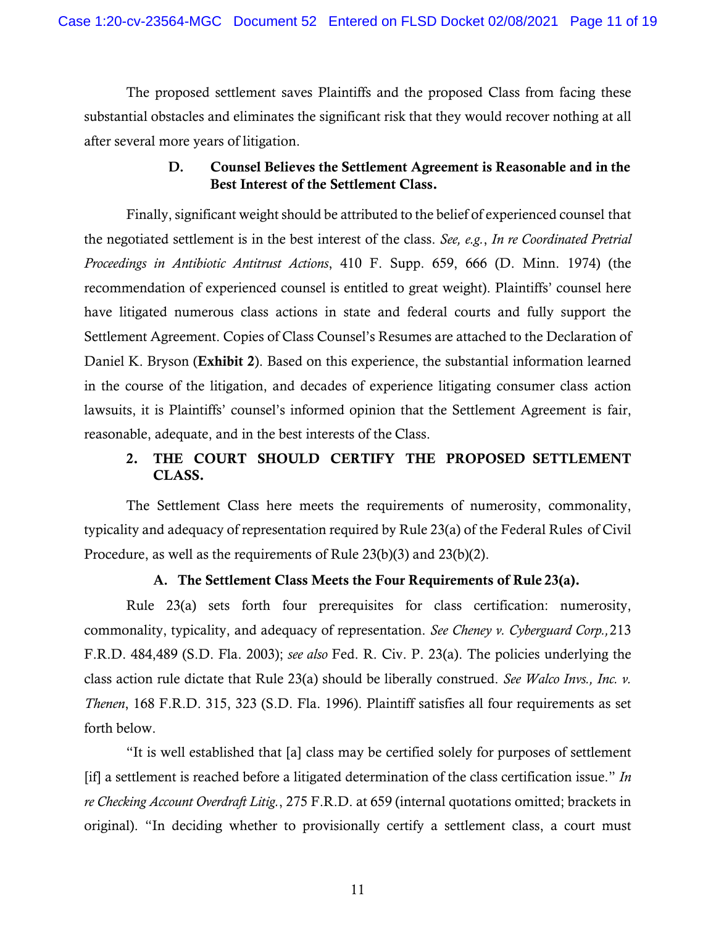The proposed settlement saves Plaintiffs and the proposed Class from facing these substantial obstacles and eliminates the significant risk that they would recover nothing at all after several more years of litigation.

## **D.** Counsel Believes the Settlement Agreement is Reasonable and in the Best Interest of the Settlement Class.

Finally, significant weight should be attributed to the belief of experienced counsel that the negotiated settlement is in the best interest of the class. *See, e.g.*, *In re Coordinated Pretrial Proceedings in Antibiotic Antitrust Actions*, 410 F. Supp. 659, 666 (D. Minn. 1974) (the recommendation of experienced counsel is entitled to great weight). Plaintiffs' counsel here have litigated numerous class actions in state and federal courts and fully support the Settlement Agreement. Copies of Class Counsel's Resumes are attached to the Declaration of Daniel K. Bryson (Exhibit 2). Based on this experience, the substantial information learned in the course of the litigation, and decades of experience litigating consumer class action lawsuits, it is Plaintiffs' counsel's informed opinion that the Settlement Agreement is fair, reasonable, adequate, and in the best interests of the Class.

# 2. THE COURT SHOULD CERTIFY THE PROPOSED SETTLEMENT CLASS.

 The Settlement Class here meets the requirements of numerosity, commonality, typicality and adequacy of representation required by Rule 23(a) of the Federal Rules of Civil Procedure, as well as the requirements of Rule 23(b)(3) and 23(b)(2).

## **A.** The Settlement Class Meets the Four Requirements of Rule 23(a).

Rule 23(a) sets forth four prerequisites for class certification: numerosity, commonality, typicality, and adequacy of representation. *See Cheney v. Cyberguard Corp.,* 213 F.R.D. 484,489 (S.D. Fla. 2003); *see also* Fed. R. Civ. P. 23(a). The policies underlying the class action rule dictate that Rule 23(a) should be liberally construed. *See Walco Invs., Inc. v. Thenen*, 168 F.R.D. 315, 323 (S.D. Fla. 1996). Plaintiff satisfies all four requirements as set forth below.

"It is well established that [a] class may be certified solely for purposes of settlement [if] a settlement is reached before a litigated determination of the class certification issue." *In re Checking Account Overdraft Litig.*, 275 F.R.D. at 659 (internal quotations omitted; brackets in original). "In deciding whether to provisionally certify a settlement class, a court must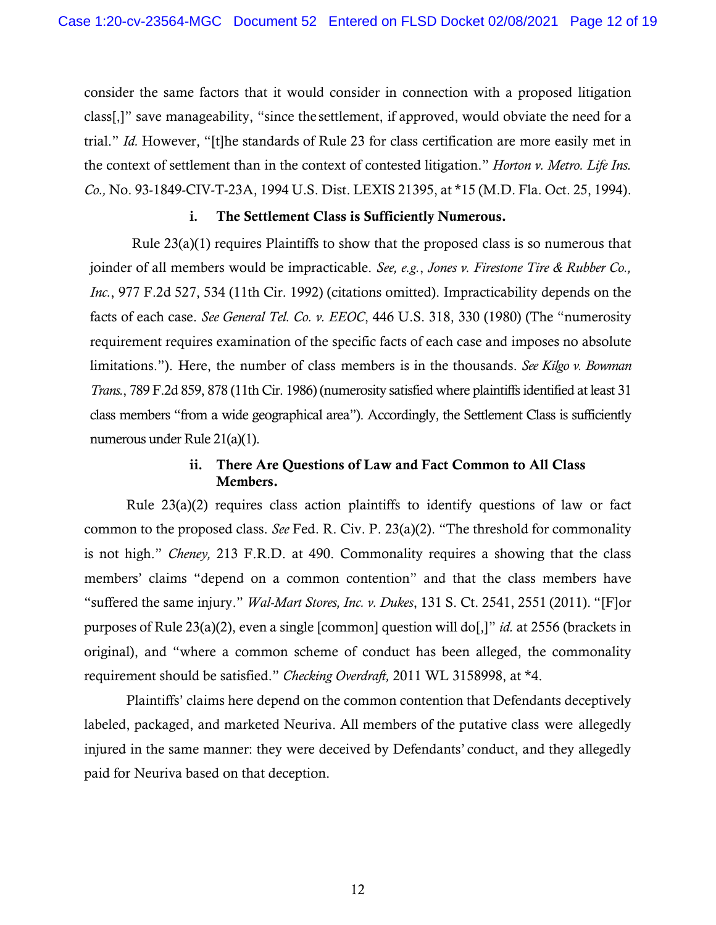consider the same factors that it would consider in connection with a proposed litigation class[,]" save manageability, "since the settlement, if approved, would obviate the need for a trial." *Id.* However, "[t]he standards of Rule 23 for class certification are more easily met in the context of settlement than in the context of contested litigation." *Horton v. Metro. Life Ins. Co.,* No. 93-1849-CIV-T-23A, 1994 U.S. Dist. LEXIS 21395, at \*15 (M.D. Fla. Oct. 25, 1994).

### **i.** The Settlement Class is Sufficiently Numerous.

Rule 23(a)(1) requires Plaintiffs to show that the proposed class is so numerous that joinder of all members would be impracticable. *See, e.g.*, *Jones v. Firestone Tire & Rubber Co., Inc.*, 977 F.2d 527, 534 (11th Cir. 1992) (citations omitted). Impracticability depends on the facts of each case. *See General Tel. Co. v. EEOC*, 446 U.S. 318, 330 (1980) (The "numerosity requirement requires examination of the specific facts of each case and imposes no absolute limitations."). Here, the number of class members is in the thousands. *See Kilgo v. Bowman Trans.*, 789 F.2d 859, 878 (11th Cir. 1986) (numerosity satisfied where plaintiffs identified at least 31 class members "from a wide geographical area"). Accordingly, the Settlement Class is sufficiently numerous under Rule 21(a)(1).

## **ii.** There Are Questions of Law and Fact Common to All Class Members.

Rule  $23(a)(2)$  requires class action plaintiffs to identify questions of law or fact common to the proposed class. *See* Fed. R. Civ. P. 23(a)(2). "The threshold for commonality is not high." *Cheney,* 213 F.R.D. at 490. Commonality requires a showing that the class members' claims "depend on a common contention" and that the class members have "suffered the same injury." *Wal-Mart Stores, Inc. v. Dukes*, 131 S. Ct. 2541, 2551 (2011). "[F]or purposes of Rule 23(a)(2), even a single [common] question will do[,]" *id.* at 2556 (brackets in original), and "where a common scheme of conduct has been alleged, the commonality requirement should be satisfied." *Checking Overdraft,* 2011 WL 3158998, at \*4.

Plaintiffs' claims here depend on the common contention that Defendants deceptively labeled, packaged, and marketed Neuriva. All members of the putative class were allegedly injured in the same manner: they were deceived by Defendants' conduct, and they allegedly paid for Neuriva based on that deception.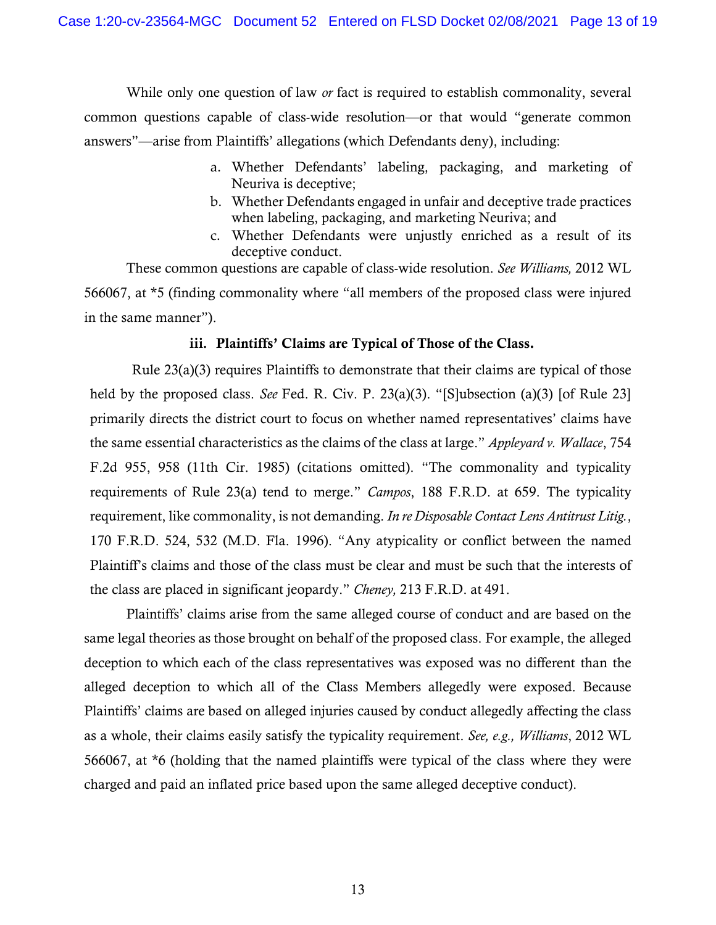While only one question of law *or* fact is required to establish commonality, several common questions capable of class-wide resolution—or that would "generate common answers"—arise from Plaintiffs' allegations (which Defendants deny), including:

- a. Whether Defendants' labeling, packaging, and marketing of Neuriva is deceptive;
- b. Whether Defendants engaged in unfair and deceptive trade practices when labeling, packaging, and marketing Neuriva; and
- c. Whether Defendants were unjustly enriched as a result of its deceptive conduct.

These common questions are capable of class-wide resolution. *See Williams,* 2012 WL 566067, at \*5 (finding commonality where "all members of the proposed class were injured in the same manner").

### **iii.** Plaintiffs' Claims are Typical of Those of the Class.

Rule 23(a)(3) requires Plaintiffs to demonstrate that their claims are typical of those held by the proposed class. *See* Fed. R. Civ. P. 23(a)(3). "[S]ubsection (a)(3) [of Rule 23] primarily directs the district court to focus on whether named representatives' claims have the same essential characteristics as the claims of the class at large." *Appleyard v. Wallace*, 754 F.2d 955, 958 (11th Cir. 1985) (citations omitted). "The commonality and typicality requirements of Rule 23(a) tend to merge." *Campos*, 188 F.R.D. at 659. The typicality requirement, like commonality, is not demanding. *In re Disposable Contact Lens Antitrust Litig.*, 170 F.R.D. 524, 532 (M.D. Fla. 1996). "Any atypicality or conflict between the named Plaintiff's claims and those of the class must be clear and must be such that the interests of the class are placed in significant jeopardy." *Cheney,* 213 F.R.D. at 491.

Plaintiffs' claims arise from the same alleged course of conduct and are based on the same legal theories as those brought on behalf of the proposed class. For example, the alleged deception to which each of the class representatives was exposed was no different than the alleged deception to which all of the Class Members allegedly were exposed. Because Plaintiffs' claims are based on alleged injuries caused by conduct allegedly affecting the class as a whole, their claims easily satisfy the typicality requirement. *See, e.g., Williams*, 2012 WL 566067, at \*6 (holding that the named plaintiffs were typical of the class where they were charged and paid an inflated price based upon the same alleged deceptive conduct).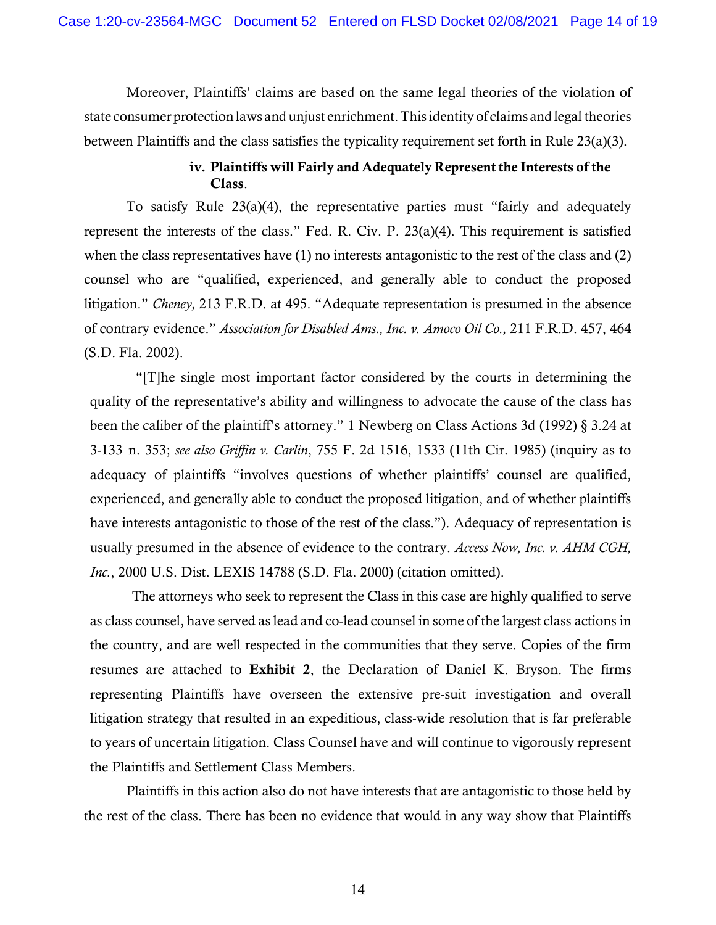Moreover, Plaintiffs' claims are based on the same legal theories of the violation of state consumer protection laws and unjust enrichment. This identity of claims and legal theories between Plaintiffs and the class satisfies the typicality requirement set forth in Rule 23(a)(3).

# **iv.** Plaintiffs will Fairly and Adequately Represent the Interests of the Class.

To satisfy Rule 23(a)(4), the representative parties must "fairly and adequately represent the interests of the class." Fed. R. Civ. P. 23(a)(4). This requirement is satisfied when the class representatives have (1) no interests antagonistic to the rest of the class and (2) counsel who are "qualified, experienced, and generally able to conduct the proposed litigation." *Cheney,* 213 F.R.D. at 495. "Adequate representation is presumed in the absence of contrary evidence." *Association for Disabled Ams., Inc. v. Amoco Oil Co.,* 211 F.R.D. 457, 464 (S.D. Fla. 2002).

 "[T]he single most important factor considered by the courts in determining the quality of the representative's ability and willingness to advocate the cause of the class has been the caliber of the plaintiff's attorney." 1 Newberg on Class Actions 3d (1992) § 3.24 at 3-133 n. 353; *see also Griffin v. Carlin*, 755 F. 2d 1516, 1533 (11th Cir. 1985) (inquiry as to adequacy of plaintiffs "involves questions of whether plaintiffs' counsel are qualified, experienced, and generally able to conduct the proposed litigation, and of whether plaintiffs have interests antagonistic to those of the rest of the class."). Adequacy of representation is usually presumed in the absence of evidence to the contrary. *Access Now, Inc. v. AHM CGH, Inc.*, 2000 U.S. Dist. LEXIS 14788 (S.D. Fla. 2000) (citation omitted).

The attorneys who seek to represent the Class in this case are highly qualified to serve as class counsel, have served as lead and co-lead counsel in some of the largest class actions in the country, and are well respected in the communities that they serve. Copies of the firm resumes are attached to Exhibit 2, the Declaration of Daniel K. Bryson. The firms representing Plaintiffs have overseen the extensive pre-suit investigation and overall litigation strategy that resulted in an expeditious, class-wide resolution that is far preferable to years of uncertain litigation. Class Counsel have and will continue to vigorously represent the Plaintiffs and Settlement Class Members.

Plaintiffs in this action also do not have interests that are antagonistic to those held by the rest of the class. There has been no evidence that would in any way show that Plaintiffs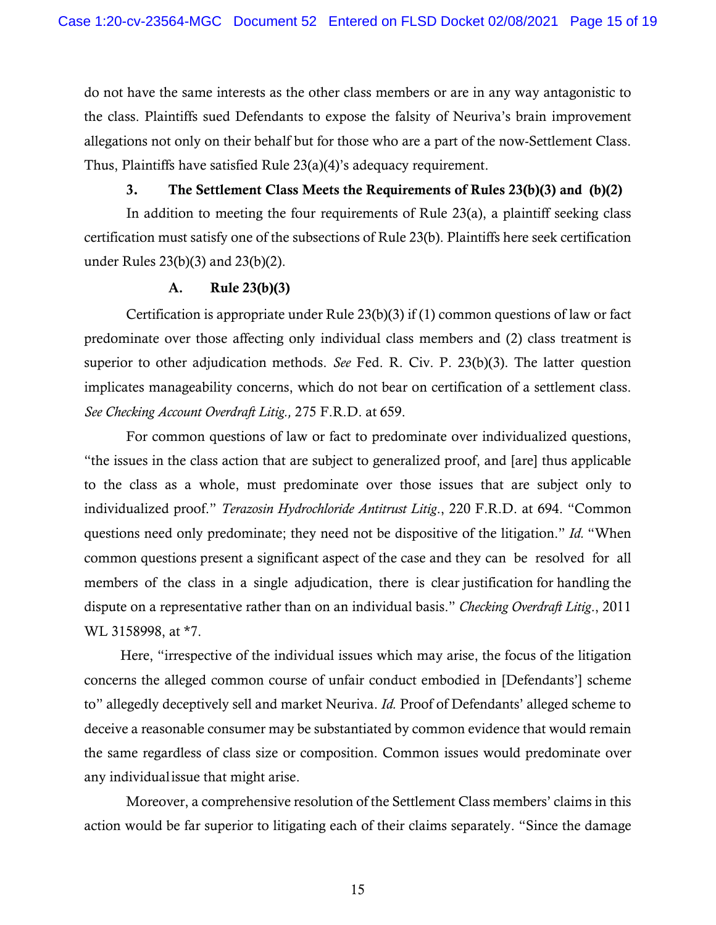do not have the same interests as the other class members or are in any way antagonistic to the class. Plaintiffs sued Defendants to expose the falsity of Neuriva's brain improvement allegations not only on their behalf but for those who are a part of the now-Settlement Class. Thus, Plaintiffs have satisfied Rule 23(a)(4)'s adequacy requirement.

## 3. The Settlement Class Meets the Requirements of Rules 23(b)(3) and (b)(2)

In addition to meeting the four requirements of Rule 23(a), a plaintiff seeking class certification must satisfy one of the subsections of Rule 23(b). Plaintiffs here seek certification under Rules 23(b)(3) and 23(b)(2).

#### **A.** Rule 23(b)(3)

Certification is appropriate under Rule 23(b)(3) if (1) common questions of law or fact predominate over those affecting only individual class members and (2) class treatment is superior to other adjudication methods. *See* Fed. R. Civ. P. 23(b)(3). The latter question implicates manageability concerns, which do not bear on certification of a settlement class. *See Checking Account Overdraft Litig.,* 275 F.R.D. at 659.

For common questions of law or fact to predominate over individualized questions, "the issues in the class action that are subject to generalized proof, and [are] thus applicable to the class as a whole, must predominate over those issues that are subject only to individualized proof." *Terazosin Hydrochloride Antitrust Litig*., 220 F.R.D. at 694. "Common questions need only predominate; they need not be dispositive of the litigation." *Id.* "When common questions present a significant aspect of the case and they can be resolved for all members of the class in a single adjudication, there is clear justification for handling the dispute on a representative rather than on an individual basis." *Checking Overdraft Litig*., 2011 WL 3158998, at \*7.

Here, "irrespective of the individual issues which may arise, the focus of the litigation concerns the alleged common course of unfair conduct embodied in [Defendants'] scheme to" allegedly deceptively sell and market Neuriva. *Id.* Proof of Defendants' alleged scheme to deceive a reasonable consumer may be substantiated by common evidence that would remain the same regardless of class size or composition. Common issues would predominate over any individual issue that might arise.

Moreover, a comprehensive resolution of the Settlement Class members' claims in this action would be far superior to litigating each of their claims separately. "Since the damage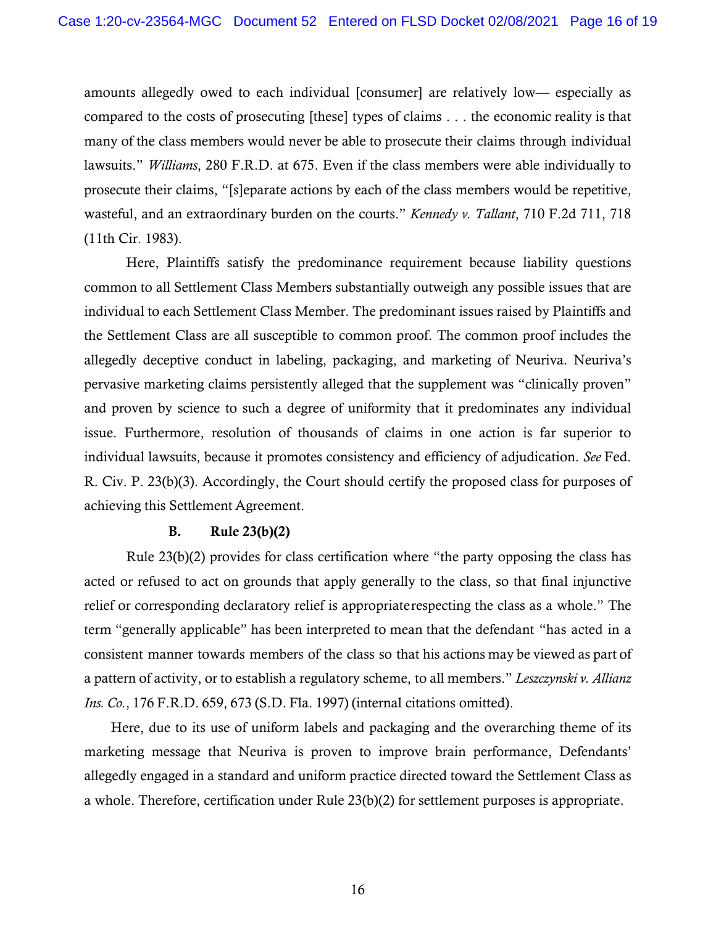amounts allegedly owed to each individual [consumer] are relatively low— especially as compared to the costs of prosecuting [these] types of claims . . . the economic reality is that many of the class members would never be able to prosecute their claims through individual lawsuits." *Williams*, 280 F.R.D. at 675. Even if the class members were able individually to prosecute their claims, "[s]eparate actions by each of the class members would be repetitive, wasteful, and an extraordinary burden on the courts." *Kennedy v. Tallant*, 710 F.2d 711, 718 (11th Cir. 1983).

Here, Plaintiffs satisfy the predominance requirement because liability questions common to all Settlement Class Members substantially outweigh any possible issues that are individual to each Settlement Class Member. The predominant issues raised by Plaintiffs and the Settlement Class are all susceptible to common proof. The common proof includes the allegedly deceptive conduct in labeling, packaging, and marketing of Neuriva. Neuriva's pervasive marketing claims persistently alleged that the supplement was "clinically proven" and proven by science to such a degree of uniformity that it predominates any individual issue. Furthermore, resolution of thousands of claims in one action is far superior to individual lawsuits, because it promotes consistency and efficiency of adjudication. *See* Fed. R. Civ. P. 23(b)(3). Accordingly, the Court should certify the proposed class for purposes of achieving this Settlement Agreement.

## **B.** Rule 23(b)(2)

 Rule 23(b)(2) provides for class certification where "the party opposing the class has acted or refused to act on grounds that apply generally to the class, so that final injunctive relief or corresponding declaratory relief is appropriate respecting the class as a whole." The term "generally applicable" has been interpreted to mean that the defendant "has acted in a consistent manner towards members of the class so that his actions may be viewed as part of a pattern of activity, or to establish a regulatory scheme, to all members." *Leszczynski v. Allianz Ins. Co.*, 176 F.R.D. 659, 673 (S.D. Fla. 1997) (internal citations omitted).

Here, due to its use of uniform labels and packaging and the overarching theme of its marketing message that Neuriva is proven to improve brain performance, Defendants' allegedly engaged in a standard and uniform practice directed toward the Settlement Class as a whole. Therefore, certification under Rule 23(b)(2) for settlement purposes is appropriate.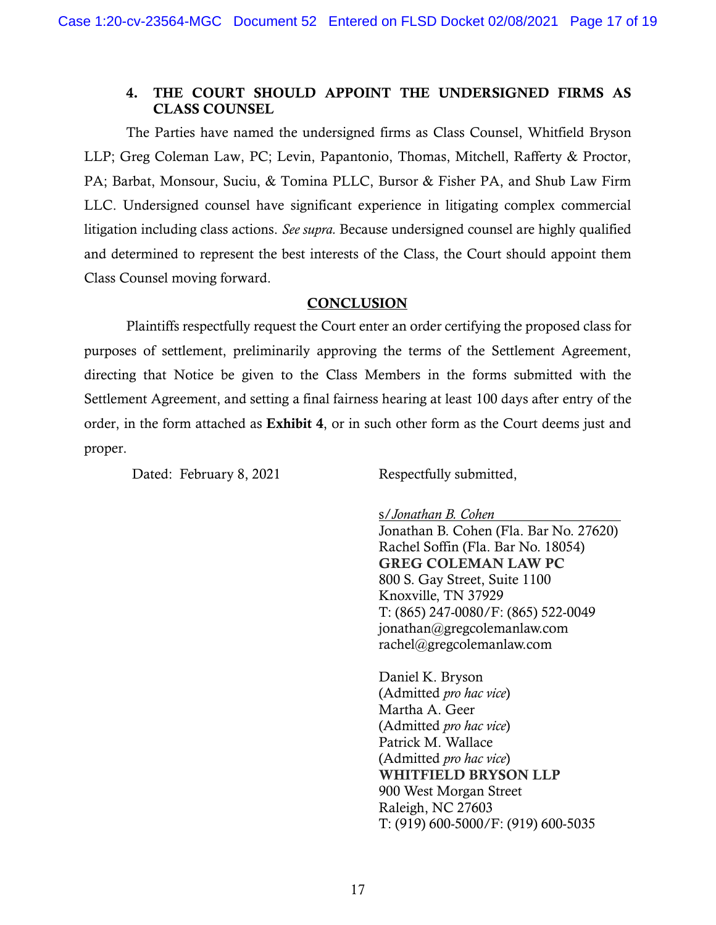## 4. THE COURT SHOULD APPOINT THE UNDERSIGNED FIRMS AS CLASS COUNSEL

The Parties have named the undersigned firms as Class Counsel, Whitfield Bryson LLP; Greg Coleman Law, PC; Levin, Papantonio, Thomas, Mitchell, Rafferty & Proctor, PA; Barbat, Monsour, Suciu, & Tomina PLLC, Bursor & Fisher PA, and Shub Law Firm LLC. Undersigned counsel have significant experience in litigating complex commercial litigation including class actions. *See supra.* Because undersigned counsel are highly qualified and determined to represent the best interests of the Class, the Court should appoint them Class Counsel moving forward.

### **CONCLUSION**

Plaintiffs respectfully request the Court enter an order certifying the proposed class for purposes of settlement, preliminarily approving the terms of the Settlement Agreement, directing that Notice be given to the Class Members in the forms submitted with the Settlement Agreement, and setting a final fairness hearing at least 100 days after entry of the order, in the form attached as Exhibit 4, or in such other form as the Court deems just and proper.

Dated: February 8, 2021 Respectfully submitted,

s/*Jonathan B. Cohen* 

Jonathan B. Cohen (Fla. Bar No. 27620) Rachel Soffin (Fla. Bar No. 18054) GREG COLEMAN LAW PC 800 S. Gay Street, Suite 1100 Knoxville, TN 37929 T: (865) 247-0080/F: (865) 522-0049 jonathan@gregcolemanlaw.com rachel@gregcolemanlaw.com

Daniel K. Bryson (Admitted *pro hac vice*) Martha A. Geer (Admitted *pro hac vice*) Patrick M. Wallace (Admitted *pro hac vice*) WHITFIELD BRYSON LLP 900 West Morgan Street Raleigh, NC 27603 T: (919) 600-5000/F: (919) 600-5035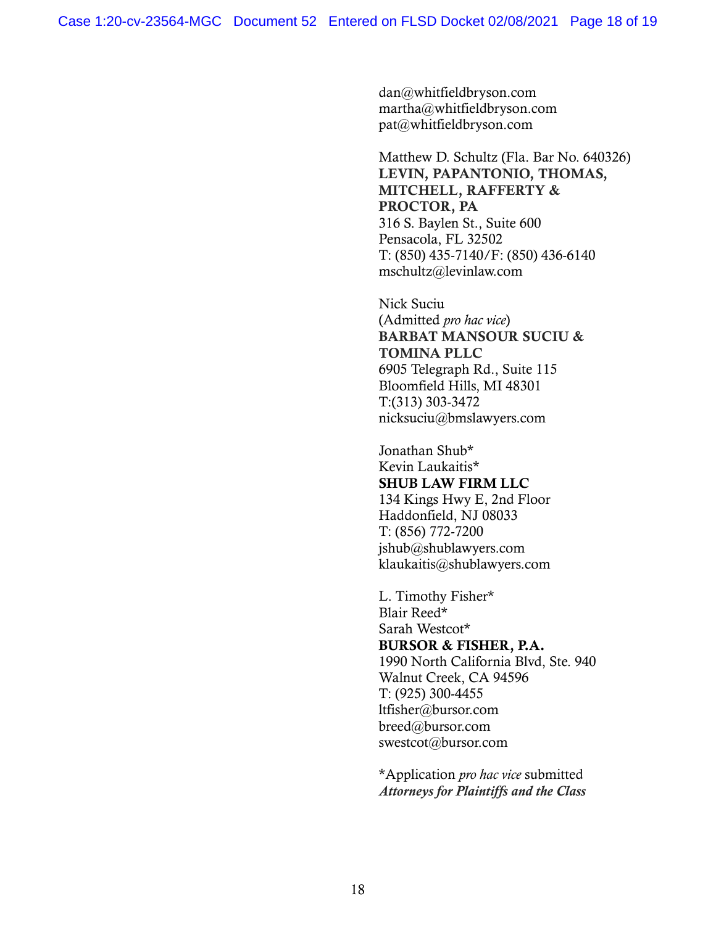dan@whitfieldbryson.com martha@whitfieldbryson.com pat@whitfieldbryson.com

Matthew D. Schultz (Fla. Bar No. 640326) LEVIN, PAPANTONIO, THOMAS, MITCHELL, RAFFERTY & PROCTOR, PA 316 S. Baylen St., Suite 600 Pensacola, FL 32502 T: (850) 435-7140/F: (850) 436-6140 mschultz@levinlaw.com

Nick Suciu (Admitted *pro hac vice*) BARBAT MANSOUR SUCIU & TOMINA PLLC 6905 Telegraph Rd., Suite 115 Bloomfield Hills, MI 48301 T:(313) 303-3472 nicksuciu@bmslawyers.com

Jonathan Shub\* Kevin Laukaitis\* SHUB LAW FIRM LLC 134 Kings Hwy E, 2nd Floor Haddonfield, NJ 08033 T: (856) 772-7200 jshub@shublawyers.com klaukaitis@shublawyers.com

L. Timothy Fisher\* Blair Reed\* Sarah Westcot\* BURSOR & FISHER, P.A. 1990 North California Blvd, Ste. 940 Walnut Creek, CA 94596 T: (925) 300-4455 ltfisher@bursor.com breed@bursor.com swestcot@bursor.com

\*Application *pro hac vice* submitted *Attorneys for Plaintiffs and the Class*